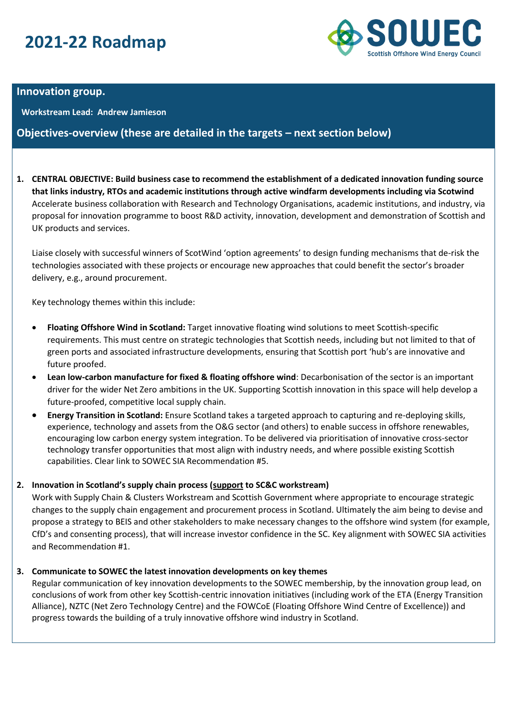# **2021-22 Roadmap**



## **Innovation group.**

**Workstream Lead: Andrew Jamieson**

## **Objectives-overview (these are detailed in the targets – next section below)**

**1. CENTRAL OBJECTIVE: Build business case to recommend the establishment of a dedicated innovation funding source that links industry, RTOs and academic institutions through active windfarm developments including via Scotwind**  Accelerate business collaboration with Research and Technology Organisations, academic institutions, and industry, via proposal for innovation programme to boost R&D activity, innovation, development and demonstration of Scottish and UK products and services.

Liaise closely with successful winners of ScotWind 'option agreements' to design funding mechanisms that de-risk the technologies associated with these projects or encourage new approaches that could benefit the sector's broader delivery, e.g., around procurement.

Key technology themes within this include:

- **Floating Offshore Wind in Scotland:** Target innovative floating wind solutions to meet Scottish-specific requirements. This must centre on strategic technologies that Scottish needs, including but not limited to that of green ports and associated infrastructure developments, ensuring that Scottish port 'hub's are innovative and future proofed.
- **Lean low-carbon manufacture for fixed & floating offshore wind**: Decarbonisation of the sector is an important driver for the wider Net Zero ambitions in the UK. Supporting Scottish innovation in this space will help develop a future-proofed, competitive local supply chain.
- **Energy Transition in Scotland:** Ensure Scotland takes a targeted approach to capturing and re-deploying skills, experience, technology and assets from the O&G sector (and others) to enable success in offshore renewables, encouraging low carbon energy system integration. To be delivered via prioritisation of innovative cross-sector technology transfer opportunities that most align with industry needs, and where possible existing Scottish capabilities. Clear link to SOWEC SIA Recommendation #5.

### **2. Innovation in Scotland's supply chain process (support to SC&C workstream)**

Work with Supply Chain & Clusters Workstream and Scottish Government where appropriate to encourage strategic changes to the supply chain engagement and procurement process in Scotland. Ultimately the aim being to devise and propose a strategy to BEIS and other stakeholders to make necessary changes to the offshore wind system (for example, CfD's and consenting process), that will increase investor confidence in the SC. Key alignment with SOWEC SIA activities and Recommendation #1.

### **3. Communicate to SOWEC the latest innovation developments on key themes**

Regular communication of key innovation developments to the SOWEC membership, by the innovation group lead, on conclusions of work from other key Scottish-centric innovation initiatives (including work of the ETA (Energy Transition Alliance), NZTC (Net Zero Technology Centre) and the FOWCoE (Floating Offshore Wind Centre of Excellence)) and progress towards the building of a truly innovative offshore wind industry in Scotland.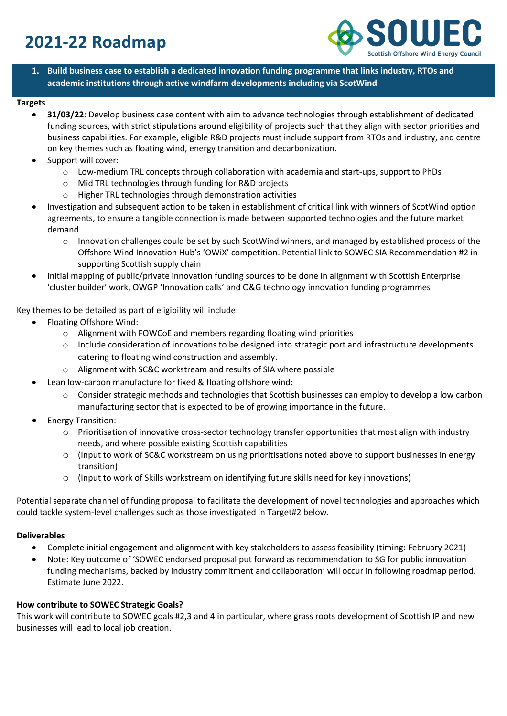# **2021-22 Roadmap**



**1. Build business case to establish a dedicated innovation funding programme that links industry, RTOs and academic institutions through active windfarm developments including via ScotWind**

#### **Targets**

- **31/03/22**: Develop business case content with aim to advance technologies through establishment of dedicated funding sources, with strict stipulations around eligibility of projects such that they align with sector priorities and business capabilities. For example, eligible R&D projects must include support from RTOs and industry, and centre on key themes such as floating wind, energy transition and decarbonization.
- Support will cover:
	- o Low-medium TRL concepts through collaboration with academia and start-ups, support to PhDs
	- o Mid TRL technologies through funding for R&D projects
	- o Higher TRL technologies through demonstration activities
- Investigation and subsequent action to be taken in establishment of critical link with winners of ScotWind option agreements, to ensure a tangible connection is made between supported technologies and the future market demand
	- o Innovation challenges could be set by such ScotWind winners, and managed by established process of the Offshore Wind Innovation Hub's 'OWiX' competition. Potential link to SOWEC SIA Recommendation #2 in supporting Scottish supply chain
- Initial mapping of public/private innovation funding sources to be done in alignment with Scottish Enterprise 'cluster builder' work, OWGP 'Innovation calls' and O&G technology innovation funding programmes

Key themes to be detailed as part of eligibility will include:

- Floating Offshore Wind:
	- o Alignment with FOWCoE and members regarding floating wind priorities
	- $\circ$  Include consideration of innovations to be designed into strategic port and infrastructure developments catering to floating wind construction and assembly.
	- o Alignment with SC&C workstream and results of SIA where possible
- Lean low-carbon manufacture for fixed & floating offshore wind:
	- o Consider strategic methods and technologies that Scottish businesses can employ to develop a low carbon manufacturing sector that is expected to be of growing importance in the future.
- Energy Transition:
	- o Prioritisation of innovative cross-sector technology transfer opportunities that most align with industry needs, and where possible existing Scottish capabilities
	- o (Input to work of SC&C workstream on using prioritisations noted above to support businesses in energy transition)
	- o (Input to work of Skills workstream on identifying future skills need for key innovations)

Potential separate channel of funding proposal to facilitate the development of novel technologies and approaches which could tackle system-level challenges such as those investigated in Target#2 below.

#### **Deliverables**

- Complete initial engagement and alignment with key stakeholders to assess feasibility (timing: February 2021)
- Note: Key outcome of 'SOWEC endorsed proposal put forward as recommendation to SG for public innovation funding mechanisms, backed by industry commitment and collaboration' will occur in following roadmap period. Estimate June 2022.

#### **How contribute to SOWEC Strategic Goals?**

This work will contribute to SOWEC goals #2,3 and 4 in particular, where grass roots development of Scottish IP and new businesses will lead to local job creation.